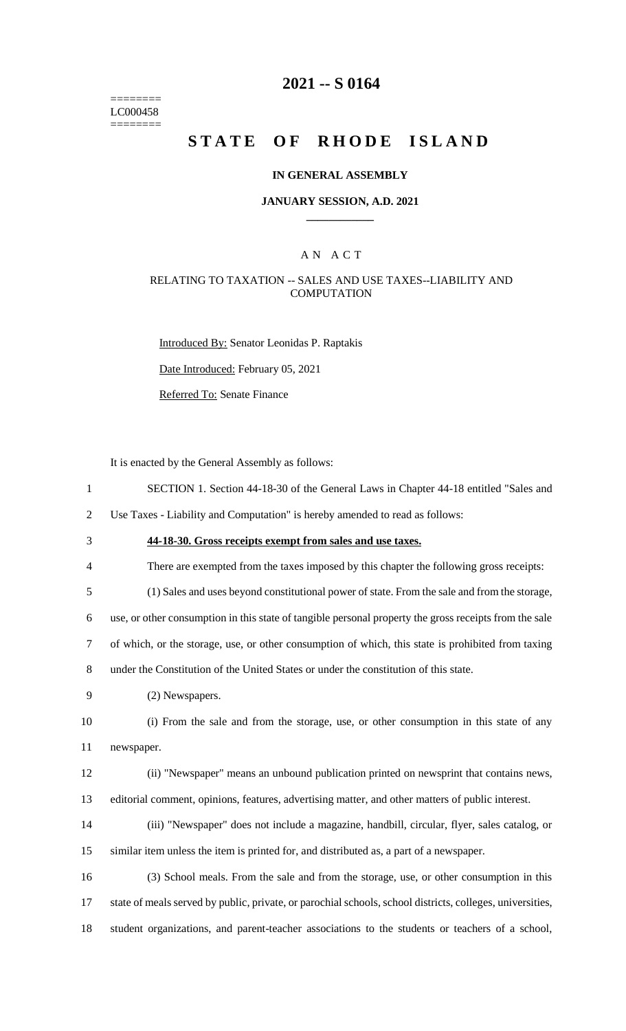======== LC000458 ========

### **2021 -- S 0164**

# **STATE OF RHODE ISLAND**

#### **IN GENERAL ASSEMBLY**

#### **JANUARY SESSION, A.D. 2021 \_\_\_\_\_\_\_\_\_\_\_\_**

### A N A C T

#### RELATING TO TAXATION -- SALES AND USE TAXES--LIABILITY AND **COMPUTATION**

Introduced By: Senator Leonidas P. Raptakis

Date Introduced: February 05, 2021

Referred To: Senate Finance

It is enacted by the General Assembly as follows:

1 SECTION 1. Section 44-18-30 of the General Laws in Chapter 44-18 entitled "Sales and

2 Use Taxes - Liability and Computation" is hereby amended to read as follows:

- 3 **44-18-30. Gross receipts exempt from sales and use taxes.**
- 4 There are exempted from the taxes imposed by this chapter the following gross receipts:

5 (1) Sales and uses beyond constitutional power of state. From the sale and from the storage,

6 use, or other consumption in this state of tangible personal property the gross receipts from the sale

7 of which, or the storage, use, or other consumption of which, this state is prohibited from taxing

8 under the Constitution of the United States or under the constitution of this state.

9 (2) Newspapers.

10 (i) From the sale and from the storage, use, or other consumption in this state of any 11 newspaper.

12 (ii) "Newspaper" means an unbound publication printed on newsprint that contains news, 13 editorial comment, opinions, features, advertising matter, and other matters of public interest.

14 (iii) "Newspaper" does not include a magazine, handbill, circular, flyer, sales catalog, or 15 similar item unless the item is printed for, and distributed as, a part of a newspaper.

16 (3) School meals. From the sale and from the storage, use, or other consumption in this 17 state of meals served by public, private, or parochial schools, school districts, colleges, universities, 18 student organizations, and parent-teacher associations to the students or teachers of a school,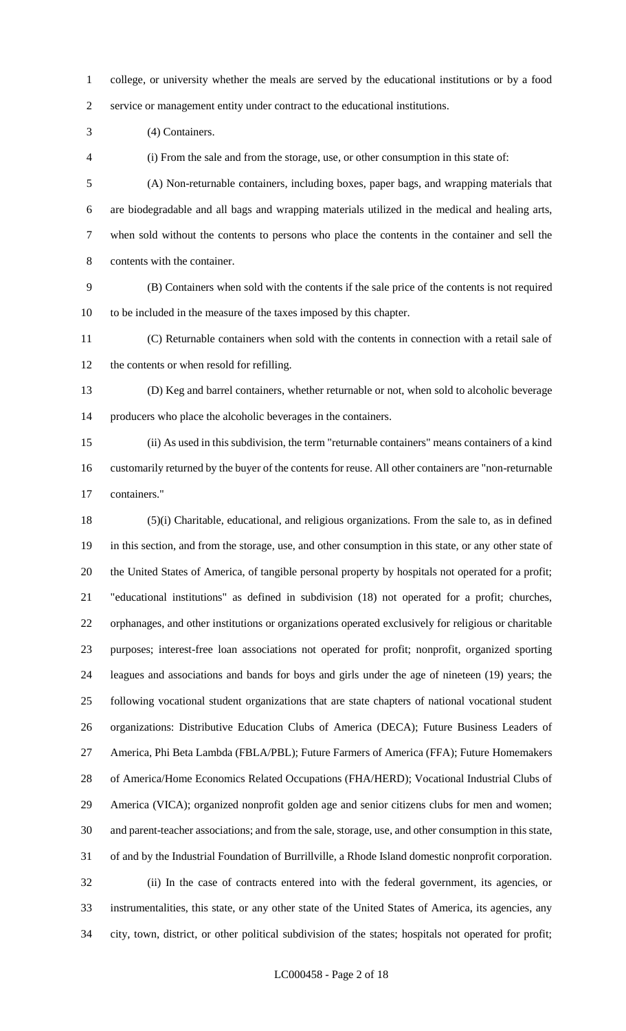college, or university whether the meals are served by the educational institutions or by a food service or management entity under contract to the educational institutions.

(4) Containers.

(i) From the sale and from the storage, use, or other consumption in this state of:

 (A) Non-returnable containers, including boxes, paper bags, and wrapping materials that are biodegradable and all bags and wrapping materials utilized in the medical and healing arts, when sold without the contents to persons who place the contents in the container and sell the contents with the container.

 (B) Containers when sold with the contents if the sale price of the contents is not required to be included in the measure of the taxes imposed by this chapter.

 (C) Returnable containers when sold with the contents in connection with a retail sale of the contents or when resold for refilling.

 (D) Keg and barrel containers, whether returnable or not, when sold to alcoholic beverage producers who place the alcoholic beverages in the containers.

 (ii) As used in this subdivision, the term "returnable containers" means containers of a kind customarily returned by the buyer of the contents for reuse. All other containers are "non-returnable containers."

 (5)(i) Charitable, educational, and religious organizations. From the sale to, as in defined in this section, and from the storage, use, and other consumption in this state, or any other state of the United States of America, of tangible personal property by hospitals not operated for a profit; "educational institutions" as defined in subdivision (18) not operated for a profit; churches, orphanages, and other institutions or organizations operated exclusively for religious or charitable purposes; interest-free loan associations not operated for profit; nonprofit, organized sporting leagues and associations and bands for boys and girls under the age of nineteen (19) years; the following vocational student organizations that are state chapters of national vocational student organizations: Distributive Education Clubs of America (DECA); Future Business Leaders of America, Phi Beta Lambda (FBLA/PBL); Future Farmers of America (FFA); Future Homemakers of America/Home Economics Related Occupations (FHA/HERD); Vocational Industrial Clubs of America (VICA); organized nonprofit golden age and senior citizens clubs for men and women; and parent-teacher associations; and from the sale, storage, use, and other consumption in this state, of and by the Industrial Foundation of Burrillville, a Rhode Island domestic nonprofit corporation. (ii) In the case of contracts entered into with the federal government, its agencies, or instrumentalities, this state, or any other state of the United States of America, its agencies, any city, town, district, or other political subdivision of the states; hospitals not operated for profit;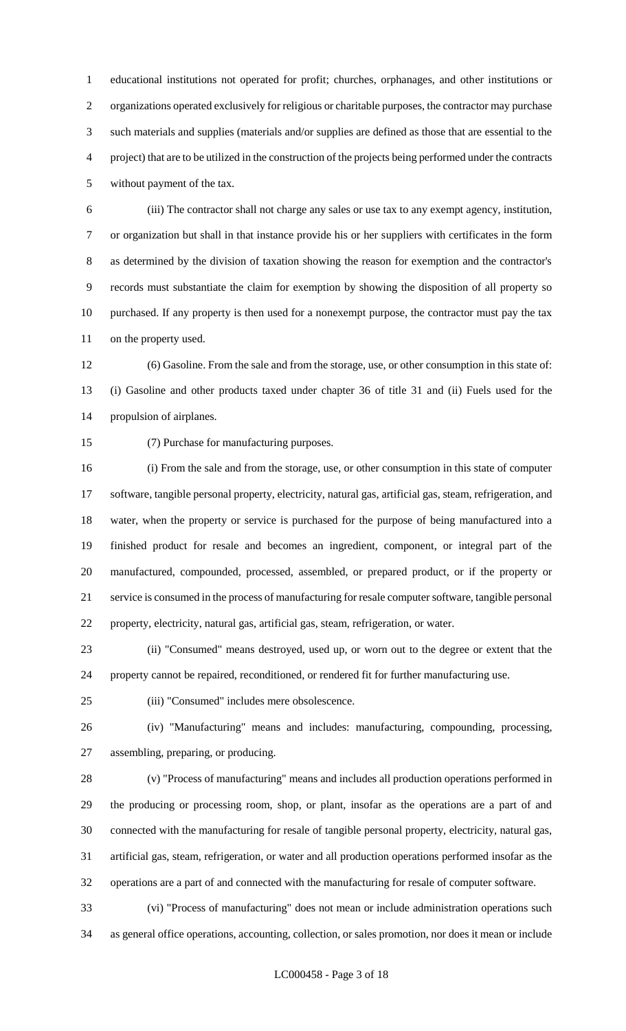educational institutions not operated for profit; churches, orphanages, and other institutions or organizations operated exclusively for religious or charitable purposes, the contractor may purchase such materials and supplies (materials and/or supplies are defined as those that are essential to the project) that are to be utilized in the construction of the projects being performed under the contracts without payment of the tax.

 (iii) The contractor shall not charge any sales or use tax to any exempt agency, institution, or organization but shall in that instance provide his or her suppliers with certificates in the form as determined by the division of taxation showing the reason for exemption and the contractor's records must substantiate the claim for exemption by showing the disposition of all property so purchased. If any property is then used for a nonexempt purpose, the contractor must pay the tax on the property used.

 (6) Gasoline. From the sale and from the storage, use, or other consumption in this state of: (i) Gasoline and other products taxed under chapter 36 of title 31 and (ii) Fuels used for the propulsion of airplanes.

(7) Purchase for manufacturing purposes.

 (i) From the sale and from the storage, use, or other consumption in this state of computer software, tangible personal property, electricity, natural gas, artificial gas, steam, refrigeration, and water, when the property or service is purchased for the purpose of being manufactured into a finished product for resale and becomes an ingredient, component, or integral part of the manufactured, compounded, processed, assembled, or prepared product, or if the property or service is consumed in the process of manufacturing for resale computer software, tangible personal property, electricity, natural gas, artificial gas, steam, refrigeration, or water.

 (ii) "Consumed" means destroyed, used up, or worn out to the degree or extent that the property cannot be repaired, reconditioned, or rendered fit for further manufacturing use.

(iii) "Consumed" includes mere obsolescence.

 (iv) "Manufacturing" means and includes: manufacturing, compounding, processing, assembling, preparing, or producing.

 (v) "Process of manufacturing" means and includes all production operations performed in the producing or processing room, shop, or plant, insofar as the operations are a part of and connected with the manufacturing for resale of tangible personal property, electricity, natural gas, artificial gas, steam, refrigeration, or water and all production operations performed insofar as the operations are a part of and connected with the manufacturing for resale of computer software.

 (vi) "Process of manufacturing" does not mean or include administration operations such as general office operations, accounting, collection, or sales promotion, nor does it mean or include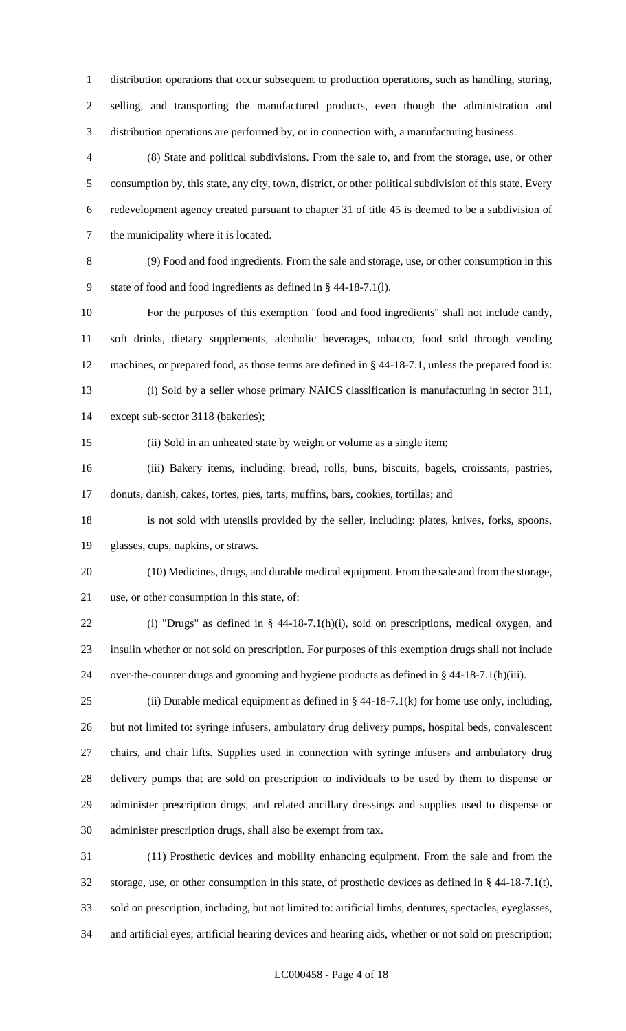distribution operations that occur subsequent to production operations, such as handling, storing, selling, and transporting the manufactured products, even though the administration and distribution operations are performed by, or in connection with, a manufacturing business.

 (8) State and political subdivisions. From the sale to, and from the storage, use, or other consumption by, this state, any city, town, district, or other political subdivision of this state. Every redevelopment agency created pursuant to chapter 31 of title 45 is deemed to be a subdivision of the municipality where it is located.

 (9) Food and food ingredients. From the sale and storage, use, or other consumption in this state of food and food ingredients as defined in § 44-18-7.1(l).

 For the purposes of this exemption "food and food ingredients" shall not include candy, soft drinks, dietary supplements, alcoholic beverages, tobacco, food sold through vending machines, or prepared food, as those terms are defined in § 44-18-7.1, unless the prepared food is: (i) Sold by a seller whose primary NAICS classification is manufacturing in sector 311,

except sub-sector 3118 (bakeries);

(ii) Sold in an unheated state by weight or volume as a single item;

 (iii) Bakery items, including: bread, rolls, buns, biscuits, bagels, croissants, pastries, donuts, danish, cakes, tortes, pies, tarts, muffins, bars, cookies, tortillas; and

 is not sold with utensils provided by the seller, including: plates, knives, forks, spoons, glasses, cups, napkins, or straws.

 (10) Medicines, drugs, and durable medical equipment. From the sale and from the storage, use, or other consumption in this state, of:

 (i) "Drugs" as defined in § 44-18-7.1(h)(i), sold on prescriptions, medical oxygen, and insulin whether or not sold on prescription. For purposes of this exemption drugs shall not include over-the-counter drugs and grooming and hygiene products as defined in § 44-18-7.1(h)(iii).

25 (ii) Durable medical equipment as defined in  $\S$  44-18-7.1(k) for home use only, including, but not limited to: syringe infusers, ambulatory drug delivery pumps, hospital beds, convalescent chairs, and chair lifts. Supplies used in connection with syringe infusers and ambulatory drug delivery pumps that are sold on prescription to individuals to be used by them to dispense or administer prescription drugs, and related ancillary dressings and supplies used to dispense or administer prescription drugs, shall also be exempt from tax.

 (11) Prosthetic devices and mobility enhancing equipment. From the sale and from the storage, use, or other consumption in this state, of prosthetic devices as defined in § 44-18-7.1(t), sold on prescription, including, but not limited to: artificial limbs, dentures, spectacles, eyeglasses, and artificial eyes; artificial hearing devices and hearing aids, whether or not sold on prescription;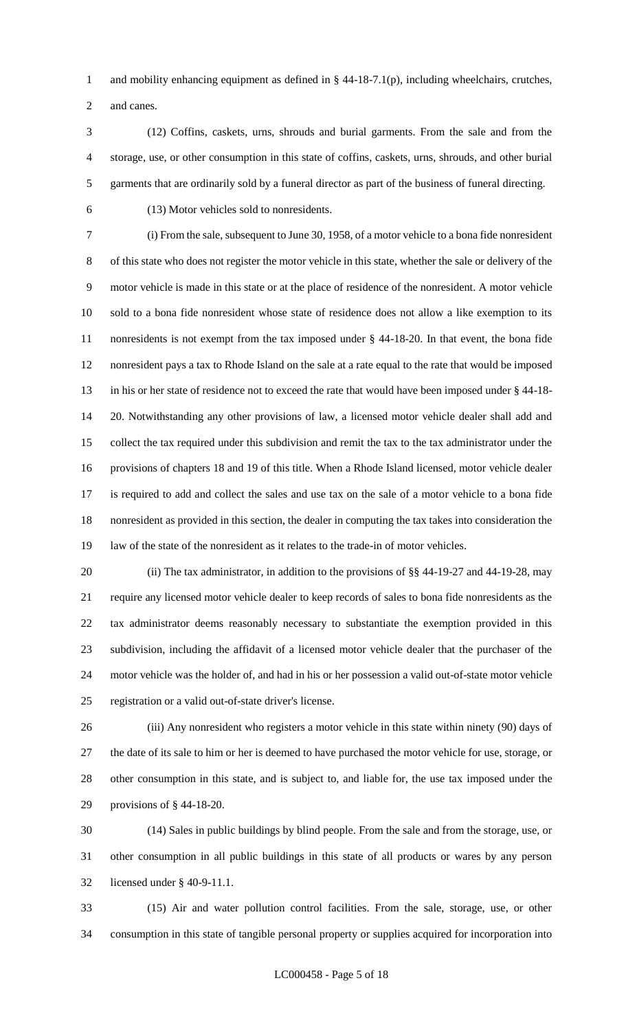and mobility enhancing equipment as defined in § 44-18-7.1(p), including wheelchairs, crutches,

and canes.

 (12) Coffins, caskets, urns, shrouds and burial garments. From the sale and from the storage, use, or other consumption in this state of coffins, caskets, urns, shrouds, and other burial garments that are ordinarily sold by a funeral director as part of the business of funeral directing.

(13) Motor vehicles sold to nonresidents.

 (i) From the sale, subsequent to June 30, 1958, of a motor vehicle to a bona fide nonresident of this state who does not register the motor vehicle in this state, whether the sale or delivery of the motor vehicle is made in this state or at the place of residence of the nonresident. A motor vehicle sold to a bona fide nonresident whose state of residence does not allow a like exemption to its nonresidents is not exempt from the tax imposed under § 44-18-20. In that event, the bona fide nonresident pays a tax to Rhode Island on the sale at a rate equal to the rate that would be imposed in his or her state of residence not to exceed the rate that would have been imposed under § 44-18- 20. Notwithstanding any other provisions of law, a licensed motor vehicle dealer shall add and collect the tax required under this subdivision and remit the tax to the tax administrator under the provisions of chapters 18 and 19 of this title. When a Rhode Island licensed, motor vehicle dealer is required to add and collect the sales and use tax on the sale of a motor vehicle to a bona fide nonresident as provided in this section, the dealer in computing the tax takes into consideration the law of the state of the nonresident as it relates to the trade-in of motor vehicles.

20 (ii) The tax administrator, in addition to the provisions of §§ 44-19-27 and 44-19-28, may require any licensed motor vehicle dealer to keep records of sales to bona fide nonresidents as the tax administrator deems reasonably necessary to substantiate the exemption provided in this subdivision, including the affidavit of a licensed motor vehicle dealer that the purchaser of the motor vehicle was the holder of, and had in his or her possession a valid out-of-state motor vehicle registration or a valid out-of-state driver's license.

 (iii) Any nonresident who registers a motor vehicle in this state within ninety (90) days of the date of its sale to him or her is deemed to have purchased the motor vehicle for use, storage, or other consumption in this state, and is subject to, and liable for, the use tax imposed under the provisions of § 44-18-20.

 (14) Sales in public buildings by blind people. From the sale and from the storage, use, or other consumption in all public buildings in this state of all products or wares by any person licensed under § 40-9-11.1.

 (15) Air and water pollution control facilities. From the sale, storage, use, or other consumption in this state of tangible personal property or supplies acquired for incorporation into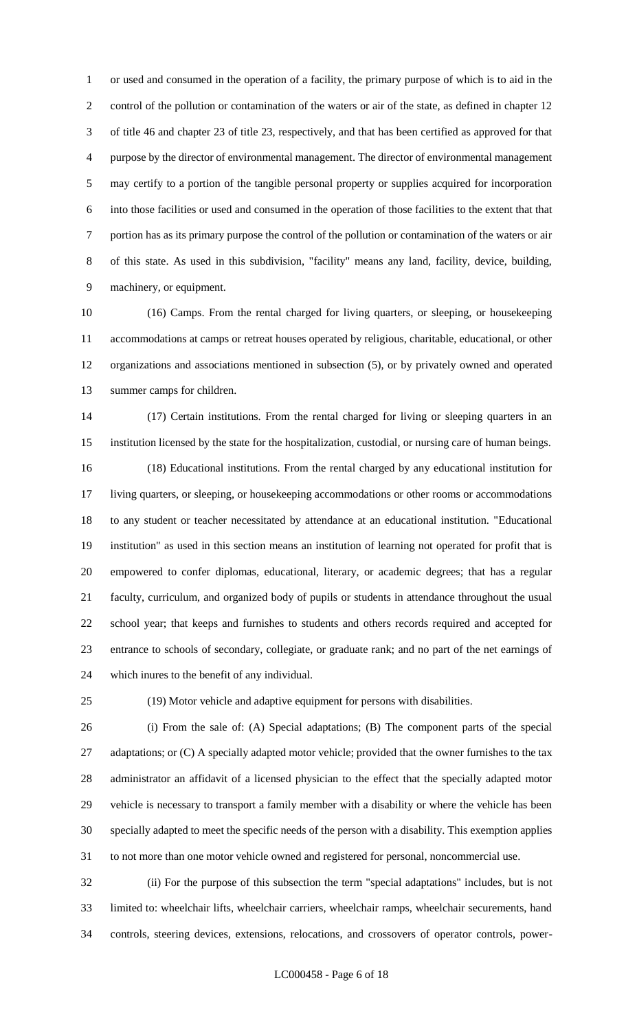or used and consumed in the operation of a facility, the primary purpose of which is to aid in the control of the pollution or contamination of the waters or air of the state, as defined in chapter 12 of title 46 and chapter 23 of title 23, respectively, and that has been certified as approved for that purpose by the director of environmental management. The director of environmental management may certify to a portion of the tangible personal property or supplies acquired for incorporation into those facilities or used and consumed in the operation of those facilities to the extent that that portion has as its primary purpose the control of the pollution or contamination of the waters or air of this state. As used in this subdivision, "facility" means any land, facility, device, building, machinery, or equipment.

 (16) Camps. From the rental charged for living quarters, or sleeping, or housekeeping accommodations at camps or retreat houses operated by religious, charitable, educational, or other organizations and associations mentioned in subsection (5), or by privately owned and operated summer camps for children.

 (17) Certain institutions. From the rental charged for living or sleeping quarters in an institution licensed by the state for the hospitalization, custodial, or nursing care of human beings. (18) Educational institutions. From the rental charged by any educational institution for living quarters, or sleeping, or housekeeping accommodations or other rooms or accommodations to any student or teacher necessitated by attendance at an educational institution. "Educational institution" as used in this section means an institution of learning not operated for profit that is empowered to confer diplomas, educational, literary, or academic degrees; that has a regular faculty, curriculum, and organized body of pupils or students in attendance throughout the usual school year; that keeps and furnishes to students and others records required and accepted for entrance to schools of secondary, collegiate, or graduate rank; and no part of the net earnings of which inures to the benefit of any individual.

(19) Motor vehicle and adaptive equipment for persons with disabilities.

 (i) From the sale of: (A) Special adaptations; (B) The component parts of the special 27 adaptations; or (C) A specially adapted motor vehicle; provided that the owner furnishes to the tax administrator an affidavit of a licensed physician to the effect that the specially adapted motor vehicle is necessary to transport a family member with a disability or where the vehicle has been specially adapted to meet the specific needs of the person with a disability. This exemption applies to not more than one motor vehicle owned and registered for personal, noncommercial use.

 (ii) For the purpose of this subsection the term "special adaptations" includes, but is not limited to: wheelchair lifts, wheelchair carriers, wheelchair ramps, wheelchair securements, hand controls, steering devices, extensions, relocations, and crossovers of operator controls, power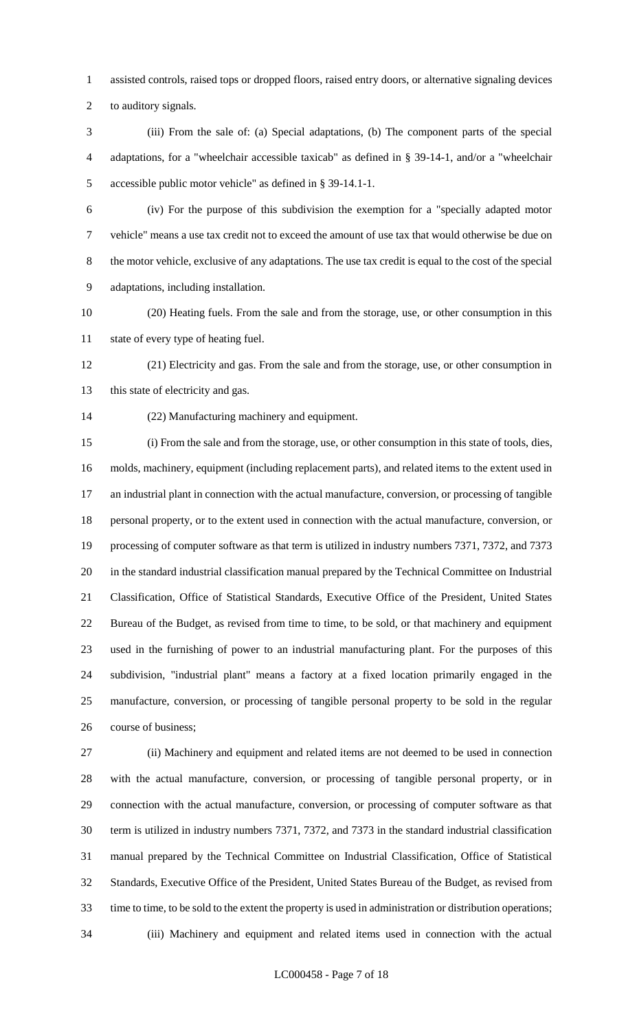assisted controls, raised tops or dropped floors, raised entry doors, or alternative signaling devices

to auditory signals.

 (iii) From the sale of: (a) Special adaptations, (b) The component parts of the special adaptations, for a "wheelchair accessible taxicab" as defined in § 39-14-1, and/or a "wheelchair accessible public motor vehicle" as defined in § 39-14.1-1.

 (iv) For the purpose of this subdivision the exemption for a "specially adapted motor vehicle" means a use tax credit not to exceed the amount of use tax that would otherwise be due on the motor vehicle, exclusive of any adaptations. The use tax credit is equal to the cost of the special adaptations, including installation.

 (20) Heating fuels. From the sale and from the storage, use, or other consumption in this state of every type of heating fuel.

 (21) Electricity and gas. From the sale and from the storage, use, or other consumption in 13 this state of electricity and gas.

(22) Manufacturing machinery and equipment.

 (i) From the sale and from the storage, use, or other consumption in this state of tools, dies, molds, machinery, equipment (including replacement parts), and related items to the extent used in an industrial plant in connection with the actual manufacture, conversion, or processing of tangible personal property, or to the extent used in connection with the actual manufacture, conversion, or processing of computer software as that term is utilized in industry numbers 7371, 7372, and 7373 in the standard industrial classification manual prepared by the Technical Committee on Industrial Classification, Office of Statistical Standards, Executive Office of the President, United States Bureau of the Budget, as revised from time to time, to be sold, or that machinery and equipment used in the furnishing of power to an industrial manufacturing plant. For the purposes of this subdivision, "industrial plant" means a factory at a fixed location primarily engaged in the manufacture, conversion, or processing of tangible personal property to be sold in the regular course of business;

 (ii) Machinery and equipment and related items are not deemed to be used in connection with the actual manufacture, conversion, or processing of tangible personal property, or in connection with the actual manufacture, conversion, or processing of computer software as that term is utilized in industry numbers 7371, 7372, and 7373 in the standard industrial classification manual prepared by the Technical Committee on Industrial Classification, Office of Statistical Standards, Executive Office of the President, United States Bureau of the Budget, as revised from time to time, to be sold to the extent the property is used in administration or distribution operations; (iii) Machinery and equipment and related items used in connection with the actual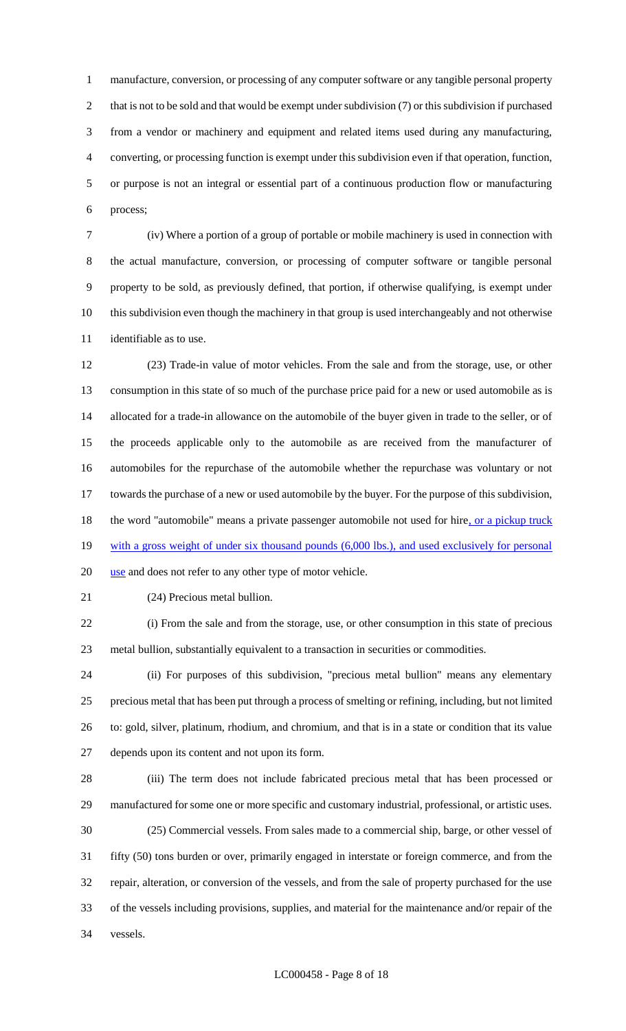manufacture, conversion, or processing of any computer software or any tangible personal property 2 that is not to be sold and that would be exempt under subdivision (7) or this subdivision if purchased from a vendor or machinery and equipment and related items used during any manufacturing, converting, or processing function is exempt under this subdivision even if that operation, function, or purpose is not an integral or essential part of a continuous production flow or manufacturing process;

 (iv) Where a portion of a group of portable or mobile machinery is used in connection with the actual manufacture, conversion, or processing of computer software or tangible personal property to be sold, as previously defined, that portion, if otherwise qualifying, is exempt under this subdivision even though the machinery in that group is used interchangeably and not otherwise identifiable as to use.

 (23) Trade-in value of motor vehicles. From the sale and from the storage, use, or other consumption in this state of so much of the purchase price paid for a new or used automobile as is allocated for a trade-in allowance on the automobile of the buyer given in trade to the seller, or of the proceeds applicable only to the automobile as are received from the manufacturer of automobiles for the repurchase of the automobile whether the repurchase was voluntary or not towards the purchase of a new or used automobile by the buyer. For the purpose of this subdivision, 18 the word "automobile" means a private passenger automobile not used for hire, or a pickup truck 19 with a gross weight of under six thousand pounds (6,000 lbs.), and used exclusively for personal 20 use and does not refer to any other type of motor vehicle.

(24) Precious metal bullion.

 (i) From the sale and from the storage, use, or other consumption in this state of precious metal bullion, substantially equivalent to a transaction in securities or commodities.

 (ii) For purposes of this subdivision, "precious metal bullion" means any elementary precious metal that has been put through a process of smelting or refining, including, but not limited to: gold, silver, platinum, rhodium, and chromium, and that is in a state or condition that its value depends upon its content and not upon its form.

 (iii) The term does not include fabricated precious metal that has been processed or manufactured for some one or more specific and customary industrial, professional, or artistic uses. (25) Commercial vessels. From sales made to a commercial ship, barge, or other vessel of fifty (50) tons burden or over, primarily engaged in interstate or foreign commerce, and from the repair, alteration, or conversion of the vessels, and from the sale of property purchased for the use of the vessels including provisions, supplies, and material for the maintenance and/or repair of the vessels.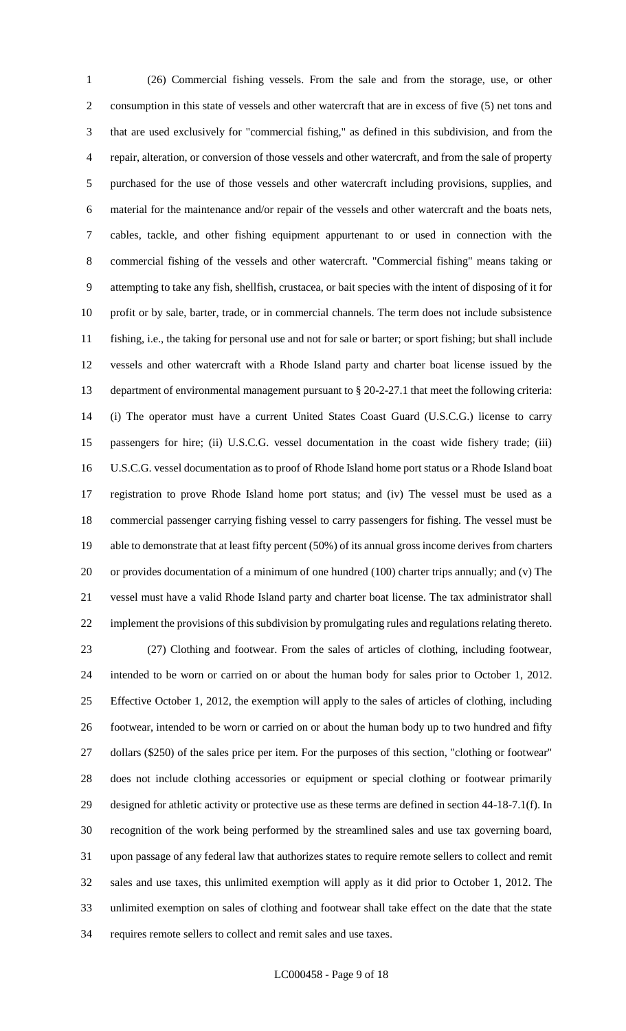(26) Commercial fishing vessels. From the sale and from the storage, use, or other consumption in this state of vessels and other watercraft that are in excess of five (5) net tons and that are used exclusively for "commercial fishing," as defined in this subdivision, and from the repair, alteration, or conversion of those vessels and other watercraft, and from the sale of property purchased for the use of those vessels and other watercraft including provisions, supplies, and material for the maintenance and/or repair of the vessels and other watercraft and the boats nets, cables, tackle, and other fishing equipment appurtenant to or used in connection with the commercial fishing of the vessels and other watercraft. "Commercial fishing" means taking or attempting to take any fish, shellfish, crustacea, or bait species with the intent of disposing of it for profit or by sale, barter, trade, or in commercial channels. The term does not include subsistence fishing, i.e., the taking for personal use and not for sale or barter; or sport fishing; but shall include vessels and other watercraft with a Rhode Island party and charter boat license issued by the department of environmental management pursuant to § 20-2-27.1 that meet the following criteria: (i) The operator must have a current United States Coast Guard (U.S.C.G.) license to carry passengers for hire; (ii) U.S.C.G. vessel documentation in the coast wide fishery trade; (iii) U.S.C.G. vessel documentation as to proof of Rhode Island home port status or a Rhode Island boat registration to prove Rhode Island home port status; and (iv) The vessel must be used as a commercial passenger carrying fishing vessel to carry passengers for fishing. The vessel must be able to demonstrate that at least fifty percent (50%) of its annual gross income derives from charters or provides documentation of a minimum of one hundred (100) charter trips annually; and (v) The vessel must have a valid Rhode Island party and charter boat license. The tax administrator shall implement the provisions of this subdivision by promulgating rules and regulations relating thereto. (27) Clothing and footwear. From the sales of articles of clothing, including footwear, intended to be worn or carried on or about the human body for sales prior to October 1, 2012. Effective October 1, 2012, the exemption will apply to the sales of articles of clothing, including footwear, intended to be worn or carried on or about the human body up to two hundred and fifty dollars (\$250) of the sales price per item. For the purposes of this section, "clothing or footwear" does not include clothing accessories or equipment or special clothing or footwear primarily designed for athletic activity or protective use as these terms are defined in section 44-18-7.1(f). In recognition of the work being performed by the streamlined sales and use tax governing board, upon passage of any federal law that authorizes states to require remote sellers to collect and remit sales and use taxes, this unlimited exemption will apply as it did prior to October 1, 2012. The unlimited exemption on sales of clothing and footwear shall take effect on the date that the state

requires remote sellers to collect and remit sales and use taxes.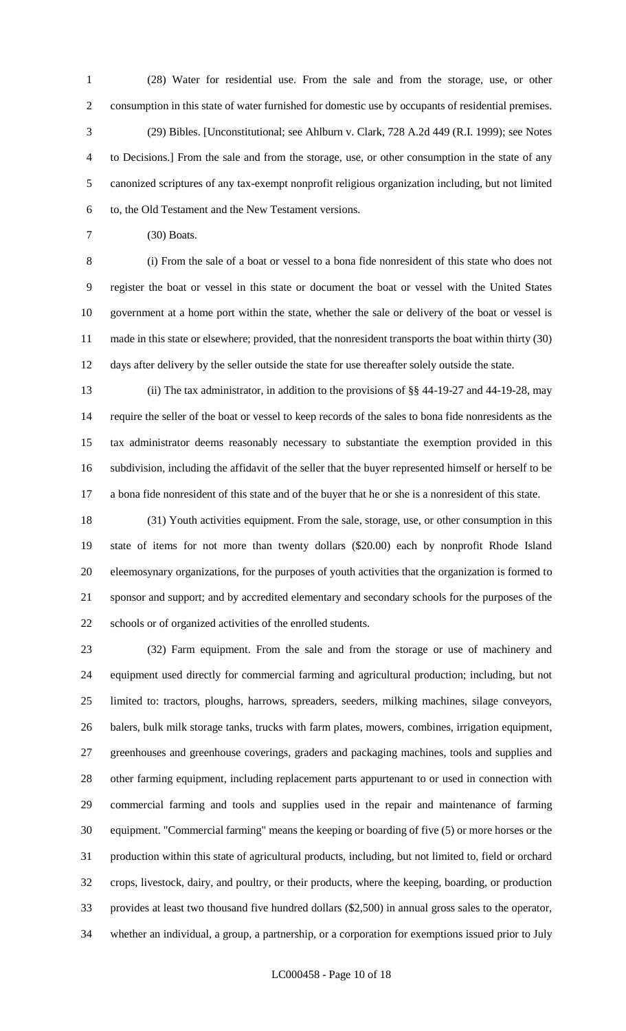(28) Water for residential use. From the sale and from the storage, use, or other consumption in this state of water furnished for domestic use by occupants of residential premises. (29) Bibles. [Unconstitutional; see Ahlburn v. Clark, 728 A.2d 449 (R.I. 1999); see Notes to Decisions.] From the sale and from the storage, use, or other consumption in the state of any canonized scriptures of any tax-exempt nonprofit religious organization including, but not limited to, the Old Testament and the New Testament versions.

(30) Boats.

 (i) From the sale of a boat or vessel to a bona fide nonresident of this state who does not register the boat or vessel in this state or document the boat or vessel with the United States government at a home port within the state, whether the sale or delivery of the boat or vessel is made in this state or elsewhere; provided, that the nonresident transports the boat within thirty (30) days after delivery by the seller outside the state for use thereafter solely outside the state.

 (ii) The tax administrator, in addition to the provisions of §§ 44-19-27 and 44-19-28, may require the seller of the boat or vessel to keep records of the sales to bona fide nonresidents as the tax administrator deems reasonably necessary to substantiate the exemption provided in this subdivision, including the affidavit of the seller that the buyer represented himself or herself to be a bona fide nonresident of this state and of the buyer that he or she is a nonresident of this state.

 (31) Youth activities equipment. From the sale, storage, use, or other consumption in this state of items for not more than twenty dollars (\$20.00) each by nonprofit Rhode Island eleemosynary organizations, for the purposes of youth activities that the organization is formed to sponsor and support; and by accredited elementary and secondary schools for the purposes of the schools or of organized activities of the enrolled students.

 (32) Farm equipment. From the sale and from the storage or use of machinery and equipment used directly for commercial farming and agricultural production; including, but not limited to: tractors, ploughs, harrows, spreaders, seeders, milking machines, silage conveyors, balers, bulk milk storage tanks, trucks with farm plates, mowers, combines, irrigation equipment, greenhouses and greenhouse coverings, graders and packaging machines, tools and supplies and other farming equipment, including replacement parts appurtenant to or used in connection with commercial farming and tools and supplies used in the repair and maintenance of farming equipment. "Commercial farming" means the keeping or boarding of five (5) or more horses or the production within this state of agricultural products, including, but not limited to, field or orchard crops, livestock, dairy, and poultry, or their products, where the keeping, boarding, or production provides at least two thousand five hundred dollars (\$2,500) in annual gross sales to the operator, whether an individual, a group, a partnership, or a corporation for exemptions issued prior to July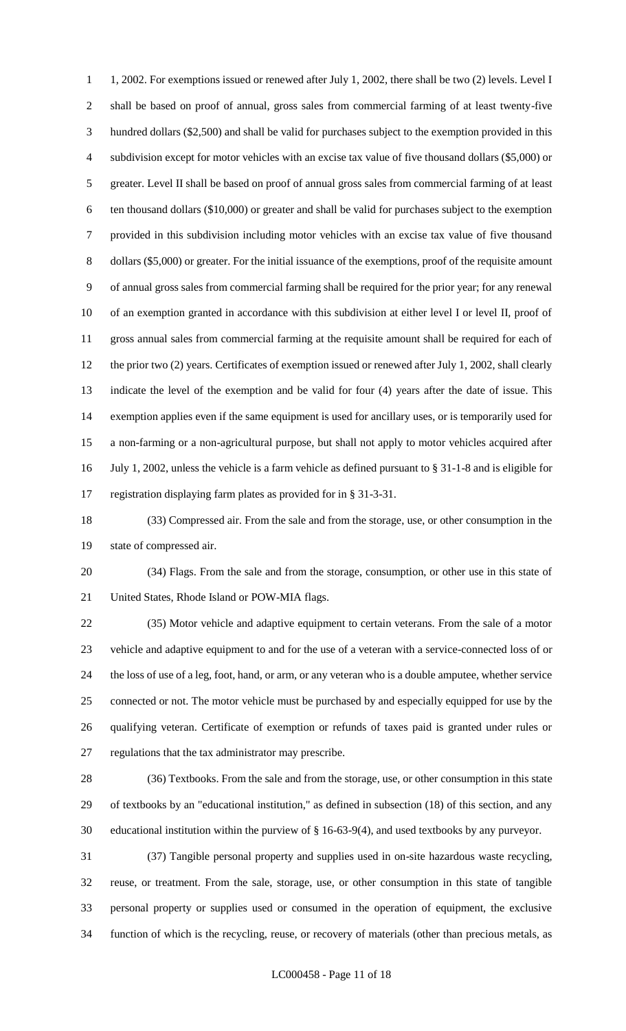1, 2002. For exemptions issued or renewed after July 1, 2002, there shall be two (2) levels. Level I shall be based on proof of annual, gross sales from commercial farming of at least twenty-five hundred dollars (\$2,500) and shall be valid for purchases subject to the exemption provided in this subdivision except for motor vehicles with an excise tax value of five thousand dollars (\$5,000) or greater. Level II shall be based on proof of annual gross sales from commercial farming of at least ten thousand dollars (\$10,000) or greater and shall be valid for purchases subject to the exemption provided in this subdivision including motor vehicles with an excise tax value of five thousand dollars (\$5,000) or greater. For the initial issuance of the exemptions, proof of the requisite amount of annual gross sales from commercial farming shall be required for the prior year; for any renewal of an exemption granted in accordance with this subdivision at either level I or level II, proof of gross annual sales from commercial farming at the requisite amount shall be required for each of 12 the prior two (2) years. Certificates of exemption issued or renewed after July 1, 2002, shall clearly indicate the level of the exemption and be valid for four (4) years after the date of issue. This exemption applies even if the same equipment is used for ancillary uses, or is temporarily used for a non-farming or a non-agricultural purpose, but shall not apply to motor vehicles acquired after July 1, 2002, unless the vehicle is a farm vehicle as defined pursuant to § 31-1-8 and is eligible for registration displaying farm plates as provided for in § 31-3-31.

 (33) Compressed air. From the sale and from the storage, use, or other consumption in the state of compressed air.

 (34) Flags. From the sale and from the storage, consumption, or other use in this state of United States, Rhode Island or POW-MIA flags.

 (35) Motor vehicle and adaptive equipment to certain veterans. From the sale of a motor vehicle and adaptive equipment to and for the use of a veteran with a service-connected loss of or the loss of use of a leg, foot, hand, or arm, or any veteran who is a double amputee, whether service connected or not. The motor vehicle must be purchased by and especially equipped for use by the qualifying veteran. Certificate of exemption or refunds of taxes paid is granted under rules or regulations that the tax administrator may prescribe.

 (36) Textbooks. From the sale and from the storage, use, or other consumption in this state of textbooks by an "educational institution," as defined in subsection (18) of this section, and any educational institution within the purview of § 16-63-9(4), and used textbooks by any purveyor.

 (37) Tangible personal property and supplies used in on-site hazardous waste recycling, reuse, or treatment. From the sale, storage, use, or other consumption in this state of tangible personal property or supplies used or consumed in the operation of equipment, the exclusive function of which is the recycling, reuse, or recovery of materials (other than precious metals, as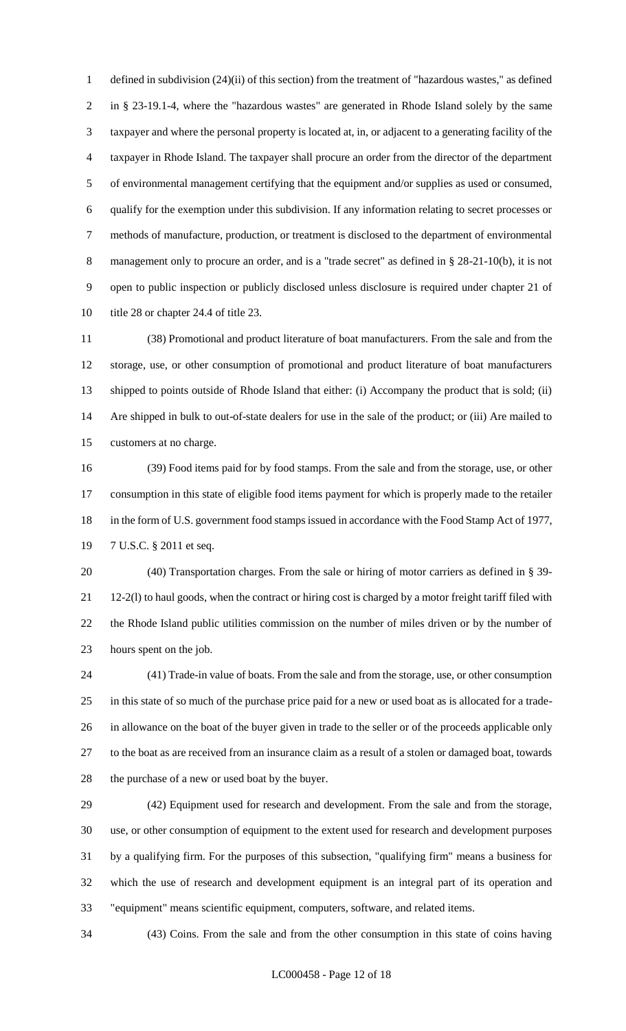defined in subdivision (24)(ii) of this section) from the treatment of "hazardous wastes," as defined in § 23-19.1-4, where the "hazardous wastes" are generated in Rhode Island solely by the same taxpayer and where the personal property is located at, in, or adjacent to a generating facility of the taxpayer in Rhode Island. The taxpayer shall procure an order from the director of the department of environmental management certifying that the equipment and/or supplies as used or consumed, qualify for the exemption under this subdivision. If any information relating to secret processes or methods of manufacture, production, or treatment is disclosed to the department of environmental 8 management only to procure an order, and is a "trade secret" as defined in § 28-21-10(b), it is not open to public inspection or publicly disclosed unless disclosure is required under chapter 21 of 10 title 28 or chapter 24.4 of title 23.

 (38) Promotional and product literature of boat manufacturers. From the sale and from the storage, use, or other consumption of promotional and product literature of boat manufacturers shipped to points outside of Rhode Island that either: (i) Accompany the product that is sold; (ii) Are shipped in bulk to out-of-state dealers for use in the sale of the product; or (iii) Are mailed to customers at no charge.

 (39) Food items paid for by food stamps. From the sale and from the storage, use, or other consumption in this state of eligible food items payment for which is properly made to the retailer 18 in the form of U.S. government food stamps issued in accordance with the Food Stamp Act of 1977, 7 U.S.C. § 2011 et seq.

 (40) Transportation charges. From the sale or hiring of motor carriers as defined in § 39- 21 12-2(1) to haul goods, when the contract or hiring cost is charged by a motor freight tariff filed with the Rhode Island public utilities commission on the number of miles driven or by the number of hours spent on the job.

 (41) Trade-in value of boats. From the sale and from the storage, use, or other consumption in this state of so much of the purchase price paid for a new or used boat as is allocated for a trade- in allowance on the boat of the buyer given in trade to the seller or of the proceeds applicable only to the boat as are received from an insurance claim as a result of a stolen or damaged boat, towards the purchase of a new or used boat by the buyer.

 (42) Equipment used for research and development. From the sale and from the storage, use, or other consumption of equipment to the extent used for research and development purposes by a qualifying firm. For the purposes of this subsection, "qualifying firm" means a business for which the use of research and development equipment is an integral part of its operation and "equipment" means scientific equipment, computers, software, and related items.

(43) Coins. From the sale and from the other consumption in this state of coins having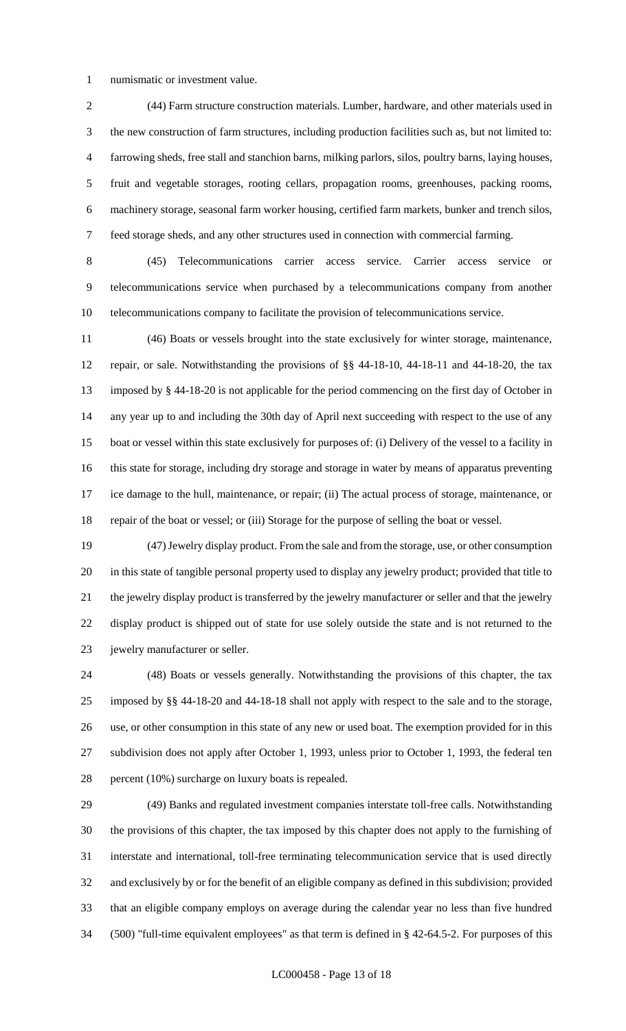numismatic or investment value.

 (44) Farm structure construction materials. Lumber, hardware, and other materials used in the new construction of farm structures, including production facilities such as, but not limited to: farrowing sheds, free stall and stanchion barns, milking parlors, silos, poultry barns, laying houses, fruit and vegetable storages, rooting cellars, propagation rooms, greenhouses, packing rooms, machinery storage, seasonal farm worker housing, certified farm markets, bunker and trench silos, feed storage sheds, and any other structures used in connection with commercial farming.

 (45) Telecommunications carrier access service. Carrier access service or telecommunications service when purchased by a telecommunications company from another telecommunications company to facilitate the provision of telecommunications service.

 (46) Boats or vessels brought into the state exclusively for winter storage, maintenance, repair, or sale. Notwithstanding the provisions of §§ 44-18-10, 44-18-11 and 44-18-20, the tax imposed by § 44-18-20 is not applicable for the period commencing on the first day of October in any year up to and including the 30th day of April next succeeding with respect to the use of any boat or vessel within this state exclusively for purposes of: (i) Delivery of the vessel to a facility in this state for storage, including dry storage and storage in water by means of apparatus preventing ice damage to the hull, maintenance, or repair; (ii) The actual process of storage, maintenance, or repair of the boat or vessel; or (iii) Storage for the purpose of selling the boat or vessel.

 (47) Jewelry display product. From the sale and from the storage, use, or other consumption in this state of tangible personal property used to display any jewelry product; provided that title to the jewelry display product is transferred by the jewelry manufacturer or seller and that the jewelry display product is shipped out of state for use solely outside the state and is not returned to the jewelry manufacturer or seller.

 (48) Boats or vessels generally. Notwithstanding the provisions of this chapter, the tax imposed by §§ 44-18-20 and 44-18-18 shall not apply with respect to the sale and to the storage, use, or other consumption in this state of any new or used boat. The exemption provided for in this subdivision does not apply after October 1, 1993, unless prior to October 1, 1993, the federal ten percent (10%) surcharge on luxury boats is repealed.

 (49) Banks and regulated investment companies interstate toll-free calls. Notwithstanding the provisions of this chapter, the tax imposed by this chapter does not apply to the furnishing of interstate and international, toll-free terminating telecommunication service that is used directly and exclusively by or for the benefit of an eligible company as defined in this subdivision; provided that an eligible company employs on average during the calendar year no less than five hundred (500) "full-time equivalent employees" as that term is defined in § 42-64.5-2. For purposes of this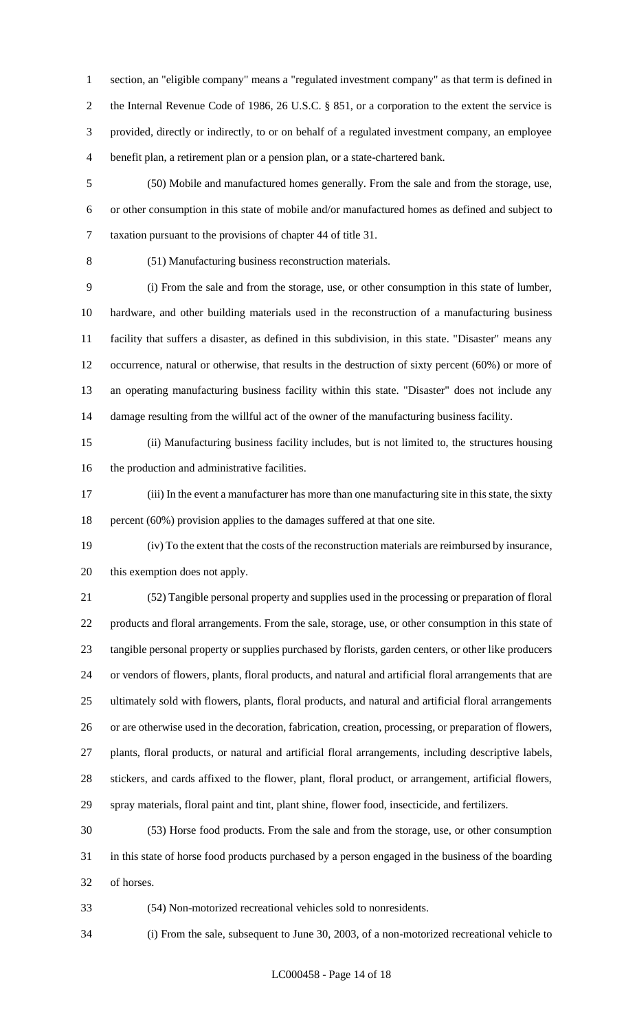section, an "eligible company" means a "regulated investment company" as that term is defined in 2 the Internal Revenue Code of 1986, 26 U.S.C. § 851, or a corporation to the extent the service is provided, directly or indirectly, to or on behalf of a regulated investment company, an employee benefit plan, a retirement plan or a pension plan, or a state-chartered bank.

 (50) Mobile and manufactured homes generally. From the sale and from the storage, use, or other consumption in this state of mobile and/or manufactured homes as defined and subject to taxation pursuant to the provisions of chapter 44 of title 31.

(51) Manufacturing business reconstruction materials.

 (i) From the sale and from the storage, use, or other consumption in this state of lumber, hardware, and other building materials used in the reconstruction of a manufacturing business facility that suffers a disaster, as defined in this subdivision, in this state. "Disaster" means any occurrence, natural or otherwise, that results in the destruction of sixty percent (60%) or more of an operating manufacturing business facility within this state. "Disaster" does not include any damage resulting from the willful act of the owner of the manufacturing business facility.

 (ii) Manufacturing business facility includes, but is not limited to, the structures housing the production and administrative facilities.

 (iii) In the event a manufacturer has more than one manufacturing site in this state, the sixty percent (60%) provision applies to the damages suffered at that one site.

 (iv) To the extent that the costs of the reconstruction materials are reimbursed by insurance, this exemption does not apply.

 (52) Tangible personal property and supplies used in the processing or preparation of floral products and floral arrangements. From the sale, storage, use, or other consumption in this state of tangible personal property or supplies purchased by florists, garden centers, or other like producers or vendors of flowers, plants, floral products, and natural and artificial floral arrangements that are ultimately sold with flowers, plants, floral products, and natural and artificial floral arrangements or are otherwise used in the decoration, fabrication, creation, processing, or preparation of flowers, plants, floral products, or natural and artificial floral arrangements, including descriptive labels, stickers, and cards affixed to the flower, plant, floral product, or arrangement, artificial flowers, spray materials, floral paint and tint, plant shine, flower food, insecticide, and fertilizers.

 (53) Horse food products. From the sale and from the storage, use, or other consumption in this state of horse food products purchased by a person engaged in the business of the boarding of horses.

(54) Non-motorized recreational vehicles sold to nonresidents.

(i) From the sale, subsequent to June 30, 2003, of a non-motorized recreational vehicle to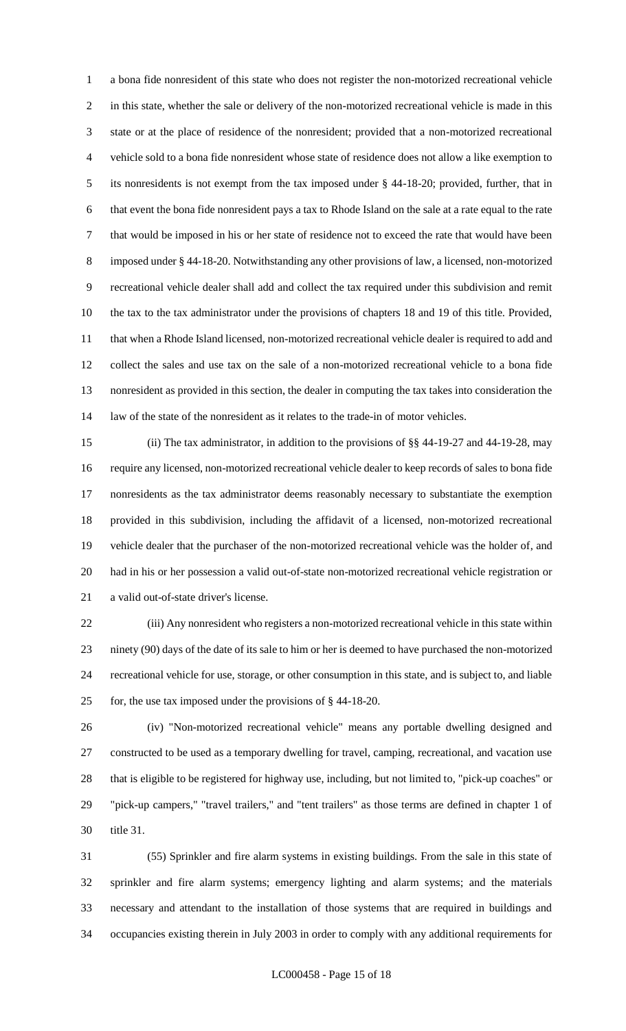a bona fide nonresident of this state who does not register the non-motorized recreational vehicle in this state, whether the sale or delivery of the non-motorized recreational vehicle is made in this state or at the place of residence of the nonresident; provided that a non-motorized recreational vehicle sold to a bona fide nonresident whose state of residence does not allow a like exemption to its nonresidents is not exempt from the tax imposed under § 44-18-20; provided, further, that in that event the bona fide nonresident pays a tax to Rhode Island on the sale at a rate equal to the rate that would be imposed in his or her state of residence not to exceed the rate that would have been imposed under § 44-18-20. Notwithstanding any other provisions of law, a licensed, non-motorized recreational vehicle dealer shall add and collect the tax required under this subdivision and remit the tax to the tax administrator under the provisions of chapters 18 and 19 of this title. Provided, that when a Rhode Island licensed, non-motorized recreational vehicle dealer is required to add and collect the sales and use tax on the sale of a non-motorized recreational vehicle to a bona fide nonresident as provided in this section, the dealer in computing the tax takes into consideration the law of the state of the nonresident as it relates to the trade-in of motor vehicles.

 (ii) The tax administrator, in addition to the provisions of §§ 44-19-27 and 44-19-28, may require any licensed, non-motorized recreational vehicle dealer to keep records of sales to bona fide nonresidents as the tax administrator deems reasonably necessary to substantiate the exemption provided in this subdivision, including the affidavit of a licensed, non-motorized recreational vehicle dealer that the purchaser of the non-motorized recreational vehicle was the holder of, and had in his or her possession a valid out-of-state non-motorized recreational vehicle registration or a valid out-of-state driver's license.

 (iii) Any nonresident who registers a non-motorized recreational vehicle in this state within ninety (90) days of the date of its sale to him or her is deemed to have purchased the non-motorized recreational vehicle for use, storage, or other consumption in this state, and is subject to, and liable for, the use tax imposed under the provisions of § 44-18-20.

 (iv) "Non-motorized recreational vehicle" means any portable dwelling designed and constructed to be used as a temporary dwelling for travel, camping, recreational, and vacation use that is eligible to be registered for highway use, including, but not limited to, "pick-up coaches" or "pick-up campers," "travel trailers," and "tent trailers" as those terms are defined in chapter 1 of title 31.

 (55) Sprinkler and fire alarm systems in existing buildings. From the sale in this state of sprinkler and fire alarm systems; emergency lighting and alarm systems; and the materials necessary and attendant to the installation of those systems that are required in buildings and occupancies existing therein in July 2003 in order to comply with any additional requirements for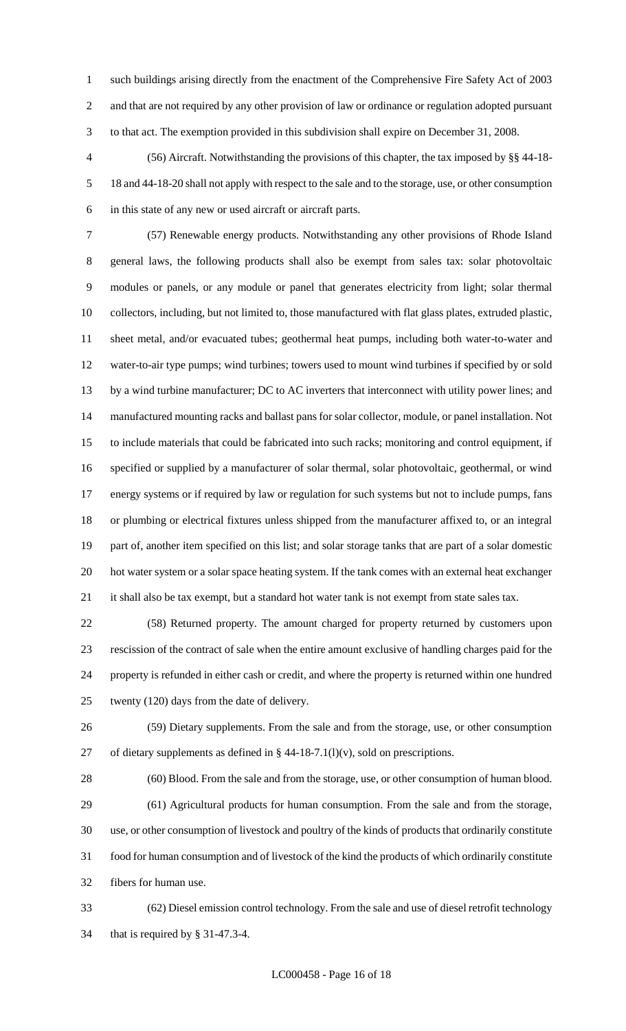such buildings arising directly from the enactment of the Comprehensive Fire Safety Act of 2003 and that are not required by any other provision of law or ordinance or regulation adopted pursuant to that act. The exemption provided in this subdivision shall expire on December 31, 2008.

 (56) Aircraft. Notwithstanding the provisions of this chapter, the tax imposed by §§ 44-18- 18 and 44-18-20 shall not apply with respect to the sale and to the storage, use, or other consumption in this state of any new or used aircraft or aircraft parts.

 (57) Renewable energy products. Notwithstanding any other provisions of Rhode Island general laws, the following products shall also be exempt from sales tax: solar photovoltaic modules or panels, or any module or panel that generates electricity from light; solar thermal collectors, including, but not limited to, those manufactured with flat glass plates, extruded plastic, sheet metal, and/or evacuated tubes; geothermal heat pumps, including both water-to-water and water-to-air type pumps; wind turbines; towers used to mount wind turbines if specified by or sold 13 by a wind turbine manufacturer; DC to AC inverters that interconnect with utility power lines; and manufactured mounting racks and ballast pans for solar collector, module, or panel installation. Not to include materials that could be fabricated into such racks; monitoring and control equipment, if specified or supplied by a manufacturer of solar thermal, solar photovoltaic, geothermal, or wind energy systems or if required by law or regulation for such systems but not to include pumps, fans or plumbing or electrical fixtures unless shipped from the manufacturer affixed to, or an integral part of, another item specified on this list; and solar storage tanks that are part of a solar domestic hot water system or a solar space heating system. If the tank comes with an external heat exchanger 21 it shall also be tax exempt, but a standard hot water tank is not exempt from state sales tax.

 (58) Returned property. The amount charged for property returned by customers upon rescission of the contract of sale when the entire amount exclusive of handling charges paid for the property is refunded in either cash or credit, and where the property is returned within one hundred twenty (120) days from the date of delivery.

 (59) Dietary supplements. From the sale and from the storage, use, or other consumption 27 of dietary supplements as defined in  $\S$  44-18-7.1(l)(v), sold on prescriptions.

 (60) Blood. From the sale and from the storage, use, or other consumption of human blood. (61) Agricultural products for human consumption. From the sale and from the storage, use, or other consumption of livestock and poultry of the kinds of products that ordinarily constitute food for human consumption and of livestock of the kind the products of which ordinarily constitute fibers for human use.

 (62) Diesel emission control technology. From the sale and use of diesel retrofit technology that is required by § 31-47.3-4.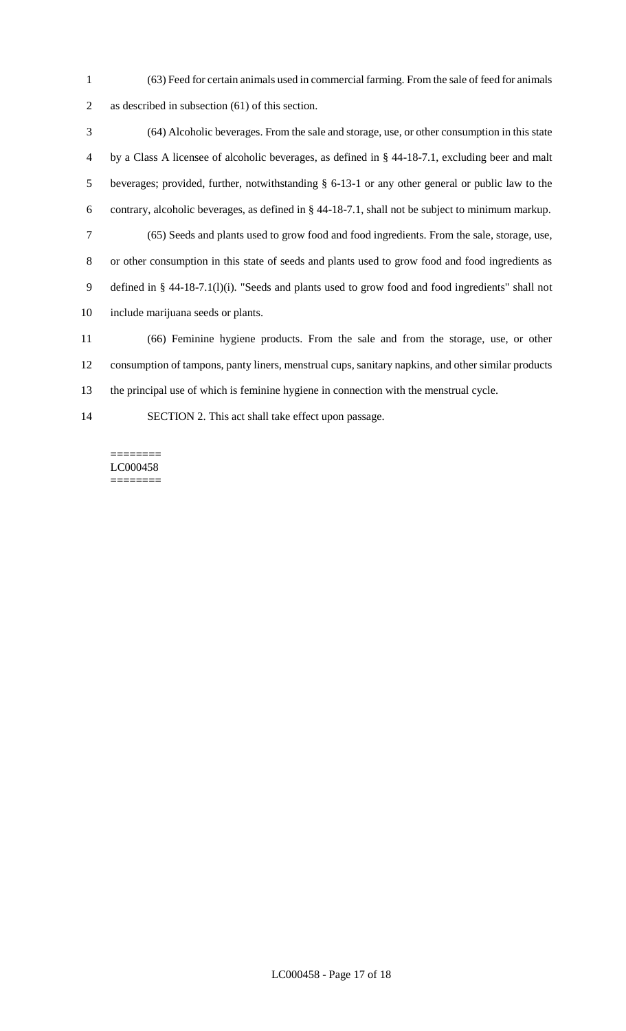(63) Feed for certain animals used in commercial farming. From the sale of feed for animals as described in subsection (61) of this section.

 (64) Alcoholic beverages. From the sale and storage, use, or other consumption in this state by a Class A licensee of alcoholic beverages, as defined in § 44-18-7.1, excluding beer and malt beverages; provided, further, notwithstanding § 6-13-1 or any other general or public law to the contrary, alcoholic beverages, as defined in § 44-18-7.1, shall not be subject to minimum markup. (65) Seeds and plants used to grow food and food ingredients. From the sale, storage, use, or other consumption in this state of seeds and plants used to grow food and food ingredients as defined in § 44-18-7.1(l)(i). "Seeds and plants used to grow food and food ingredients" shall not include marijuana seeds or plants. (66) Feminine hygiene products. From the sale and from the storage, use, or other

 consumption of tampons, panty liners, menstrual cups, sanitary napkins, and other similar products the principal use of which is feminine hygiene in connection with the menstrual cycle.

SECTION 2. This act shall take effect upon passage.

======== LC000458 ========